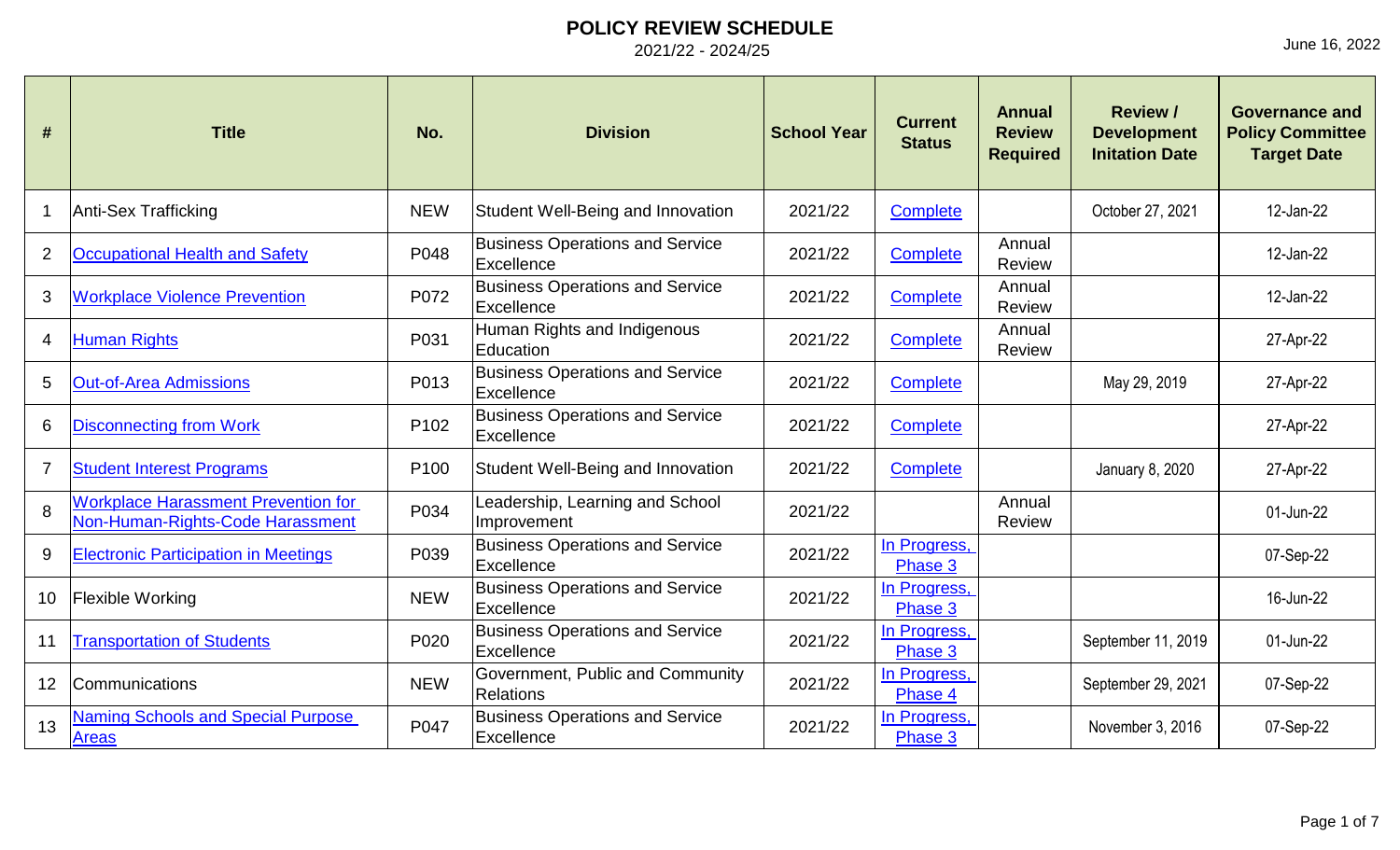| #              | <b>Title</b>                                                                   | No.              | <b>Division</b>                                      | <b>School Year</b> | <b>Current</b><br><b>Status</b> | <b>Annual</b><br><b>Review</b><br><b>Required</b> | <b>Review /</b><br><b>Development</b><br><b>Initation Date</b> | <b>Governance and</b><br><b>Policy Committee</b><br><b>Target Date</b> |
|----------------|--------------------------------------------------------------------------------|------------------|------------------------------------------------------|--------------------|---------------------------------|---------------------------------------------------|----------------------------------------------------------------|------------------------------------------------------------------------|
| 1              | Anti-Sex Trafficking                                                           | <b>NEW</b>       | Student Well-Being and Innovation                    | 2021/22            | Complete                        |                                                   | October 27, 2021                                               | 12-Jan-22                                                              |
| 2              | <b>Occupational Health and Safety</b>                                          | P048             | <b>Business Operations and Service</b><br>Excellence | 2021/22            | <b>Complete</b>                 | Annual<br><b>Review</b>                           |                                                                | 12-Jan-22                                                              |
| 3              | <b>Workplace Violence Prevention</b>                                           | P072             | <b>Business Operations and Service</b><br>Excellence | 2021/22            | Complete                        | Annual<br>Review                                  |                                                                | 12-Jan-22                                                              |
| 4              | <b>Human Rights</b>                                                            | P031             | Human Rights and Indigenous<br>Education             | 2021/22            | <b>Complete</b>                 | Annual<br>Review                                  |                                                                | 27-Apr-22                                                              |
| 5              | <b>Out-of-Area Admissions</b>                                                  | P013             | <b>Business Operations and Service</b><br>Excellence | 2021/22            | <b>Complete</b>                 |                                                   | May 29, 2019                                                   | 27-Apr-22                                                              |
| 6              | <b>Disconnecting from Work</b>                                                 | P <sub>102</sub> | <b>Business Operations and Service</b><br>Excellence | 2021/22            | <b>Complete</b>                 |                                                   |                                                                | 27-Apr-22                                                              |
| $\overline{7}$ | <b>Student Interest Programs</b>                                               | P <sub>100</sub> | Student Well-Being and Innovation                    | 2021/22            | <b>Complete</b>                 |                                                   | January 8, 2020                                                | 27-Apr-22                                                              |
| 8              | <b>Workplace Harassment Prevention for</b><br>Non-Human-Rights-Code Harassment | P034             | Leadership, Learning and School<br>Improvement       | 2021/22            |                                 | Annual<br><b>Review</b>                           |                                                                | 01-Jun-22                                                              |
| 9              | <b>Electronic Participation in Meetings</b>                                    | P039             | <b>Business Operations and Service</b><br>Excellence | 2021/22            | In Progress,<br>Phase 3         |                                                   |                                                                | 07-Sep-22                                                              |
| 10             | <b>Flexible Working</b>                                                        | <b>NEW</b>       | <b>Business Operations and Service</b><br>Excellence | 2021/22            | In Progress,<br>Phase 3         |                                                   |                                                                | 16-Jun-22                                                              |
| 11             | <b>Transportation of Students</b>                                              | P020             | <b>Business Operations and Service</b><br>Excellence | 2021/22            | In Progress,<br>Phase 3         |                                                   | September 11, 2019                                             | 01-Jun-22                                                              |
| 12             | Communications                                                                 | <b>NEW</b>       | Government, Public and Community<br><b>Relations</b> | 2021/22            | In Progress,<br>Phase 4         |                                                   | September 29, 2021                                             | 07-Sep-22                                                              |
| 13             | Naming Schools and Special Purpose<br><b>Areas</b>                             | P047             | <b>Business Operations and Service</b><br>Excellence | 2021/22            | In Progress,<br>Phase 3         |                                                   | November 3, 2016                                               | 07-Sep-22                                                              |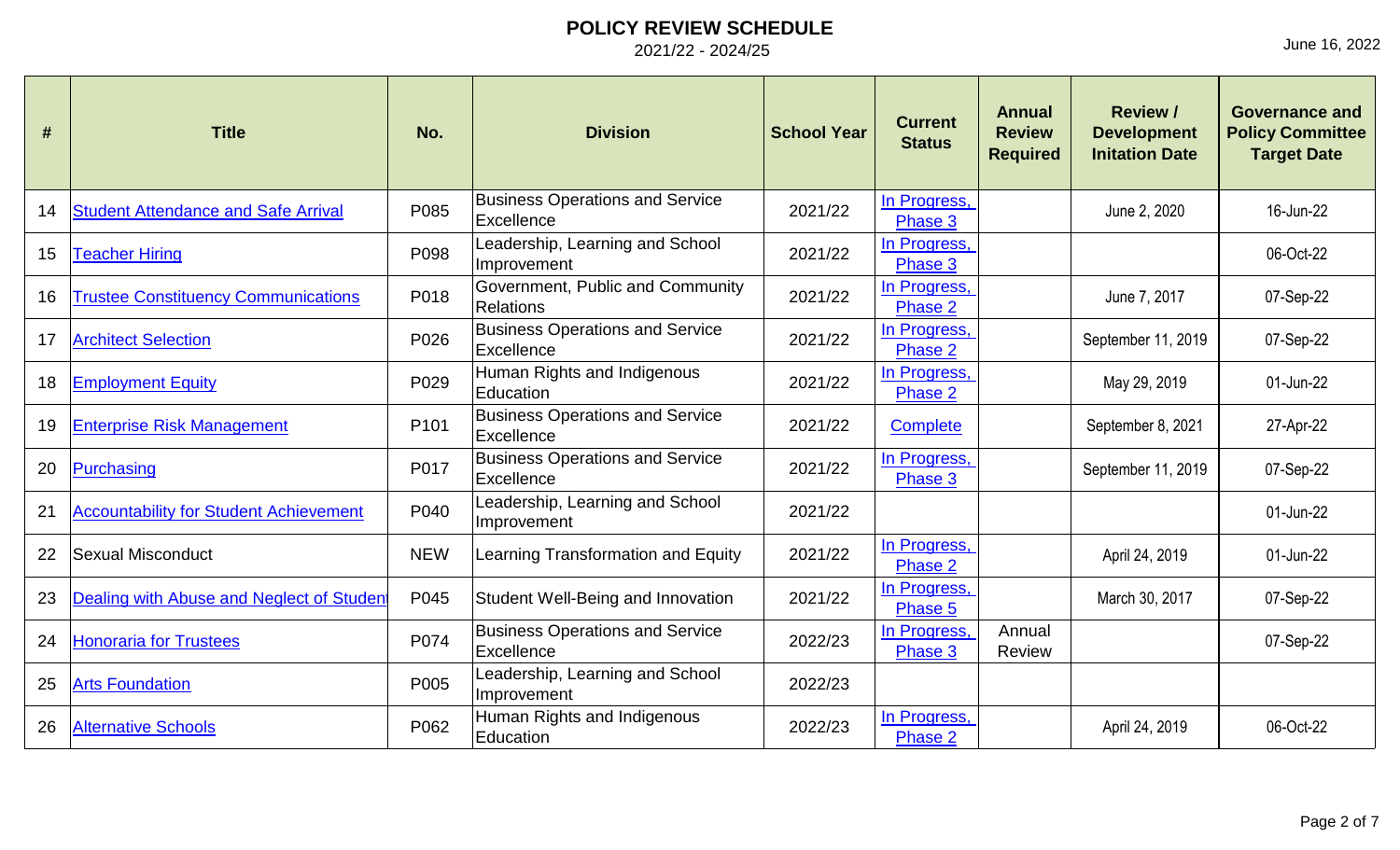| #  | <b>Title</b>                                  | No.              | <b>Division</b>                                      | <b>School Year</b> | <b>Current</b><br><b>Status</b> | <b>Annual</b><br><b>Review</b><br><b>Required</b> | <b>Review /</b><br><b>Development</b><br><b>Initation Date</b> | <b>Governance and</b><br><b>Policy Committee</b><br><b>Target Date</b> |
|----|-----------------------------------------------|------------------|------------------------------------------------------|--------------------|---------------------------------|---------------------------------------------------|----------------------------------------------------------------|------------------------------------------------------------------------|
| 14 | <b>Student Attendance and Safe Arrival</b>    | P085             | <b>Business Operations and Service</b><br>Excellence | 2021/22            | In Progress,<br>Phase 3         |                                                   | June 2, 2020                                                   | 16-Jun-22                                                              |
| 15 | <b>Teacher Hiring</b>                         | P098             | Leadership, Learning and School<br>Improvement       | 2021/22            | In Progress,<br>Phase 3         |                                                   |                                                                | 06-Oct-22                                                              |
| 16 | <b>Trustee Constituency Communications</b>    | P018             | Government, Public and Community<br><b>Relations</b> | 2021/22            | In Progress,<br>Phase 2         |                                                   | June 7, 2017                                                   | 07-Sep-22                                                              |
| 17 | <b>Architect Selection</b>                    | P026             | <b>Business Operations and Service</b><br>Excellence | 2021/22            | In Progress,<br>Phase 2         |                                                   | September 11, 2019                                             | 07-Sep-22                                                              |
| 18 | <b>Employment Equity</b>                      | P029             | Human Rights and Indigenous<br>Education             | 2021/22            | In Progress,<br>Phase 2         |                                                   | May 29, 2019                                                   | 01-Jun-22                                                              |
| 19 | <b>Enterprise Risk Management</b>             | P <sub>101</sub> | <b>Business Operations and Service</b><br>Excellence | 2021/22            | Complete                        |                                                   | September 8, 2021                                              | 27-Apr-22                                                              |
| 20 | Purchasing                                    | P017             | <b>Business Operations and Service</b><br>Excellence | 2021/22            | In Progress,<br>Phase 3         |                                                   | September 11, 2019                                             | 07-Sep-22                                                              |
| 21 | <b>Accountability for Student Achievement</b> | P040             | Leadership, Learning and School<br>Improvement       | 2021/22            |                                 |                                                   |                                                                | 01-Jun-22                                                              |
| 22 | <b>Sexual Misconduct</b>                      | <b>NEW</b>       | Learning Transformation and Equity                   | 2021/22            | In Progress,<br>Phase 2         |                                                   | April 24, 2019                                                 | 01-Jun-22                                                              |
| 23 | Dealing with Abuse and Neglect of Studen      | P045             | Student Well-Being and Innovation                    | 2021/22            | In Progress,<br>Phase 5         |                                                   | March 30, 2017                                                 | 07-Sep-22                                                              |
| 24 | <b>Honoraria for Trustees</b>                 | P074             | <b>Business Operations and Service</b><br>Excellence | 2022/23            | In Progress,<br>Phase 3         | Annual<br><b>Review</b>                           |                                                                | 07-Sep-22                                                              |
| 25 | <b>Arts Foundation</b>                        | P005             | Leadership, Learning and School<br>Improvement       | 2022/23            |                                 |                                                   |                                                                |                                                                        |
| 26 | <b>Alternative Schools</b>                    | P062             | Human Rights and Indigenous<br>Education             | 2022/23            | In Progress,<br>Phase 2         |                                                   | April 24, 2019                                                 | 06-Oct-22                                                              |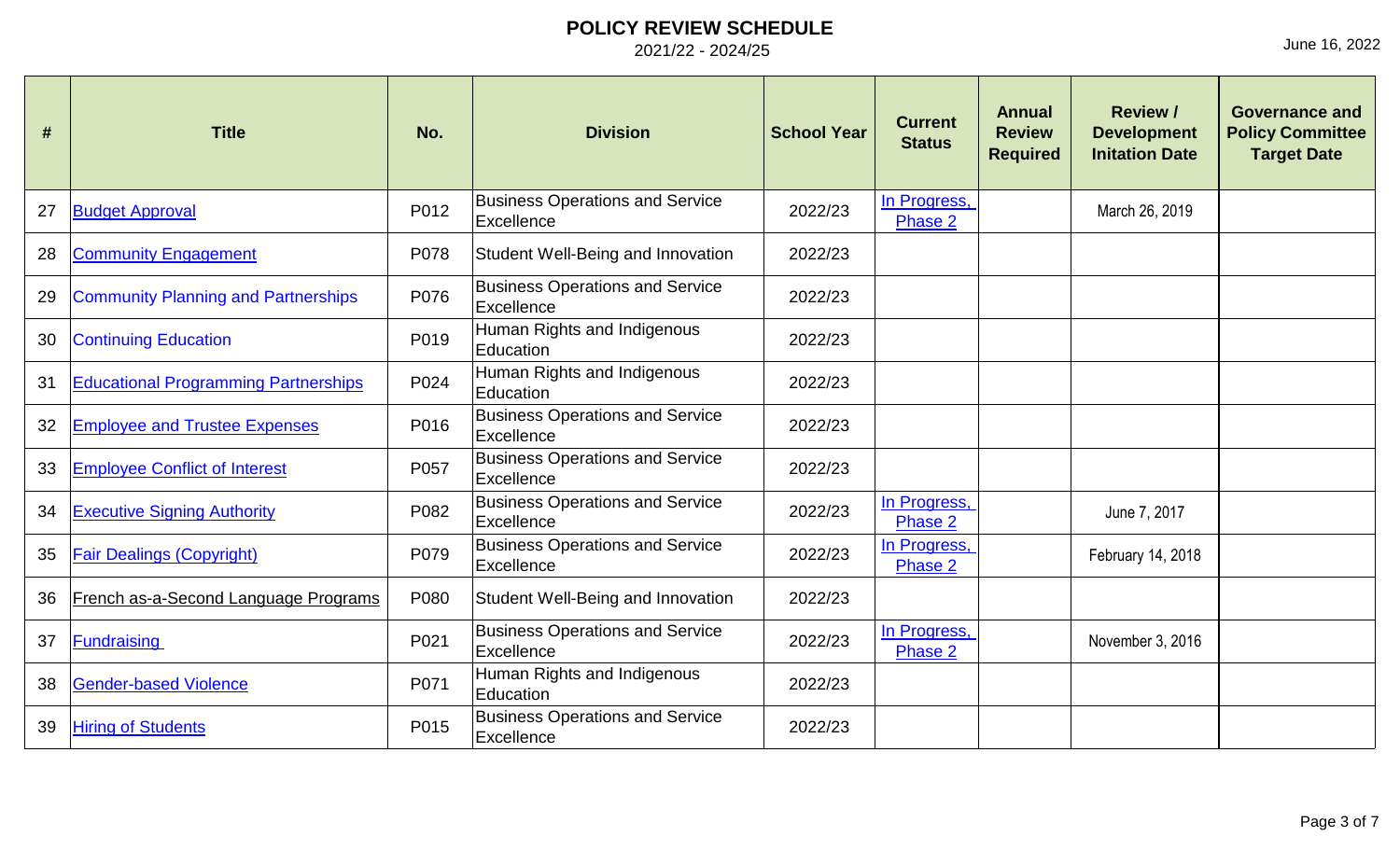| #  | <b>Title</b>                                | No.  | <b>Division</b>                                      | <b>School Year</b> | <b>Current</b><br><b>Status</b> | <b>Annual</b><br><b>Review</b><br><b>Required</b> | <b>Review /</b><br><b>Development</b><br><b>Initation Date</b> | <b>Governance and</b><br><b>Policy Committee</b><br><b>Target Date</b> |
|----|---------------------------------------------|------|------------------------------------------------------|--------------------|---------------------------------|---------------------------------------------------|----------------------------------------------------------------|------------------------------------------------------------------------|
| 27 | <b>Budget Approval</b>                      | P012 | <b>Business Operations and Service</b><br>Excellence | 2022/23            | In Progress,<br>Phase 2         |                                                   | March 26, 2019                                                 |                                                                        |
| 28 | <b>Community Engagement</b>                 | P078 | <b>Student Well-Being and Innovation</b>             | 2022/23            |                                 |                                                   |                                                                |                                                                        |
| 29 | <b>Community Planning and Partnerships</b>  | P076 | <b>Business Operations and Service</b><br>Excellence | 2022/23            |                                 |                                                   |                                                                |                                                                        |
| 30 | <b>Continuing Education</b>                 | P019 | Human Rights and Indigenous<br>Education             | 2022/23            |                                 |                                                   |                                                                |                                                                        |
| 31 | <b>Educational Programming Partnerships</b> | P024 | Human Rights and Indigenous<br>Education             | 2022/23            |                                 |                                                   |                                                                |                                                                        |
| 32 | <b>Employee and Trustee Expenses</b>        | P016 | <b>Business Operations and Service</b><br>Excellence | 2022/23            |                                 |                                                   |                                                                |                                                                        |
| 33 | <b>Employee Conflict of Interest</b>        | P057 | <b>Business Operations and Service</b><br>Excellence | 2022/23            |                                 |                                                   |                                                                |                                                                        |
| 34 | <b>Executive Signing Authority</b>          | P082 | <b>Business Operations and Service</b><br>Excellence | 2022/23            | In Progress,<br>Phase 2         |                                                   | June 7, 2017                                                   |                                                                        |
| 35 | <b>Fair Dealings (Copyright)</b>            | P079 | <b>Business Operations and Service</b><br>Excellence | 2022/23            | In Progress,<br>Phase 2         |                                                   | February 14, 2018                                              |                                                                        |
| 36 | French as-a-Second Language Programs        | P080 | Student Well-Being and Innovation                    | 2022/23            |                                 |                                                   |                                                                |                                                                        |
| 37 | <b>Fundraising</b>                          | P021 | <b>Business Operations and Service</b><br>Excellence | 2022/23            | In Progress,<br>Phase 2         |                                                   | November 3, 2016                                               |                                                                        |
| 38 | <b>Gender-based Violence</b>                | P071 | Human Rights and Indigenous<br>Education             | 2022/23            |                                 |                                                   |                                                                |                                                                        |
| 39 | <b>Hiring of Students</b>                   | P015 | <b>Business Operations and Service</b><br>Excellence | 2022/23            |                                 |                                                   |                                                                |                                                                        |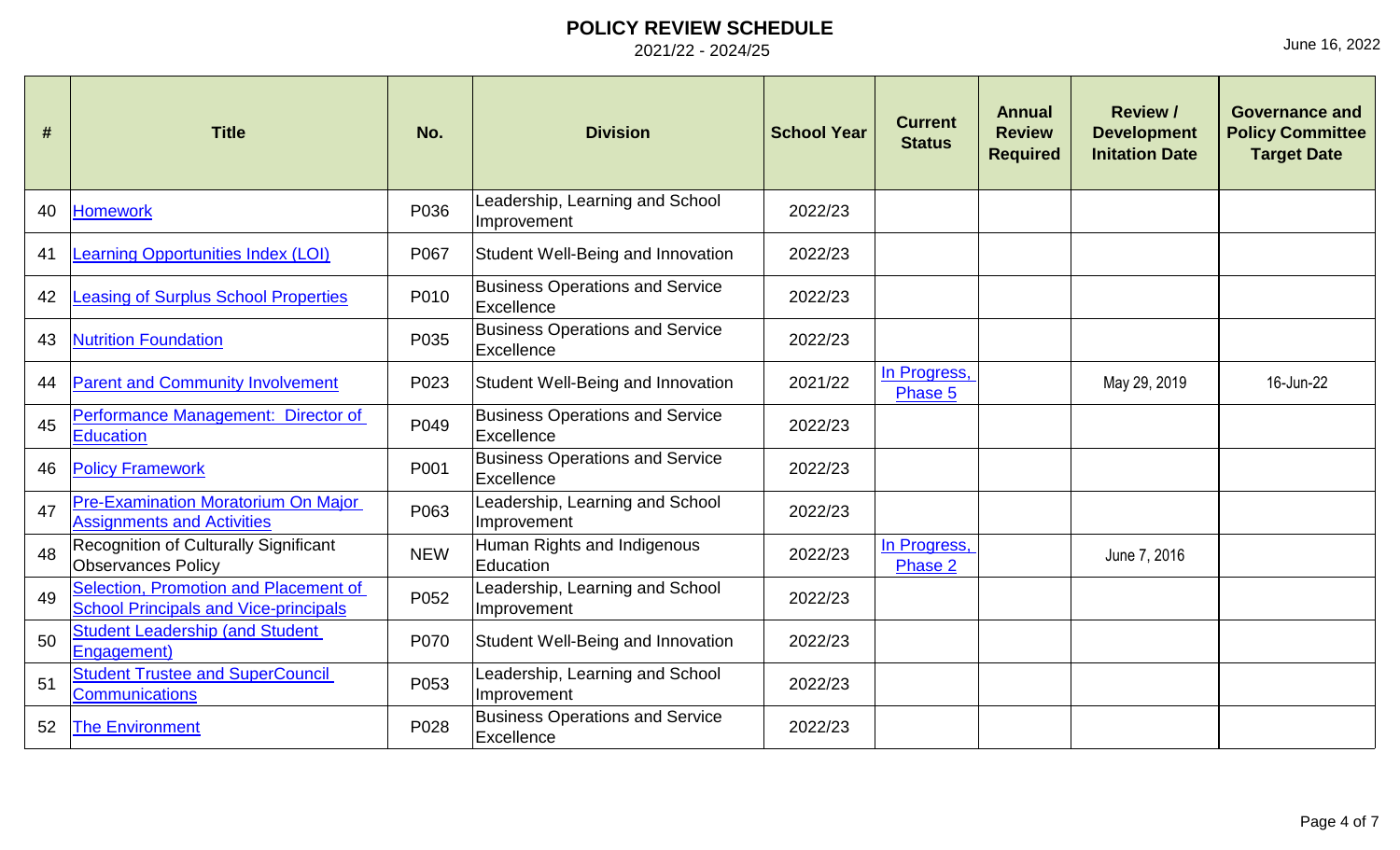| #  | <b>Title</b>                                                                          | No.        | <b>Division</b>                                      | <b>School Year</b> | <b>Current</b><br><b>Status</b> | <b>Annual</b><br><b>Review</b><br><b>Required</b> | <b>Review /</b><br><b>Development</b><br><b>Initation Date</b> | <b>Governance and</b><br><b>Policy Committee</b><br><b>Target Date</b> |
|----|---------------------------------------------------------------------------------------|------------|------------------------------------------------------|--------------------|---------------------------------|---------------------------------------------------|----------------------------------------------------------------|------------------------------------------------------------------------|
| 40 | <b>Homework</b>                                                                       | P036       | Leadership, Learning and School<br>Improvement       | 2022/23            |                                 |                                                   |                                                                |                                                                        |
| 41 | <b>Learning Opportunities Index (LOI)</b>                                             | P067       | Student Well-Being and Innovation                    | 2022/23            |                                 |                                                   |                                                                |                                                                        |
| 42 | <b>Leasing of Surplus School Properties</b>                                           | P010       | <b>Business Operations and Service</b><br>Excellence | 2022/23            |                                 |                                                   |                                                                |                                                                        |
| 43 | <b>Nutrition Foundation</b>                                                           | P035       | <b>Business Operations and Service</b><br>Excellence | 2022/23            |                                 |                                                   |                                                                |                                                                        |
| 44 | <b>Parent and Community Involvement</b>                                               | P023       | Student Well-Being and Innovation                    | 2021/22            | In Progress,<br>Phase 5         |                                                   | May 29, 2019                                                   | 16-Jun-22                                                              |
| 45 | Performance Management: Director of<br><b>Education</b>                               | P049       | <b>Business Operations and Service</b><br>Excellence | 2022/23            |                                 |                                                   |                                                                |                                                                        |
| 46 | <b>Policy Framework</b>                                                               | P001       | <b>Business Operations and Service</b><br>Excellence | 2022/23            |                                 |                                                   |                                                                |                                                                        |
| 47 | <b>Pre-Examination Moratorium On Major</b><br><b>Assignments and Activities</b>       | P063       | Leadership, Learning and School<br>Improvement       | 2022/23            |                                 |                                                   |                                                                |                                                                        |
| 48 | <b>Recognition of Culturally Significant</b><br><b>Observances Policy</b>             | <b>NEW</b> | Human Rights and Indigenous<br>Education             | 2022/23            | In Progress,<br>Phase 2         |                                                   | June 7, 2016                                                   |                                                                        |
| 49 | Selection, Promotion and Placement of<br><b>School Principals and Vice-principals</b> | P052       | Leadership, Learning and School<br>Improvement       | 2022/23            |                                 |                                                   |                                                                |                                                                        |
| 50 | <b>Student Leadership (and Student</b><br>Engagement)                                 | P070       | <b>Student Well-Being and Innovation</b>             | 2022/23            |                                 |                                                   |                                                                |                                                                        |
| 51 | <b>Student Trustee and SuperCouncil</b><br><b>Communications</b>                      | P053       | Leadership, Learning and School<br>Improvement       | 2022/23            |                                 |                                                   |                                                                |                                                                        |
| 52 | <b>The Environment</b>                                                                | P028       | <b>Business Operations and Service</b><br>Excellence | 2022/23            |                                 |                                                   |                                                                |                                                                        |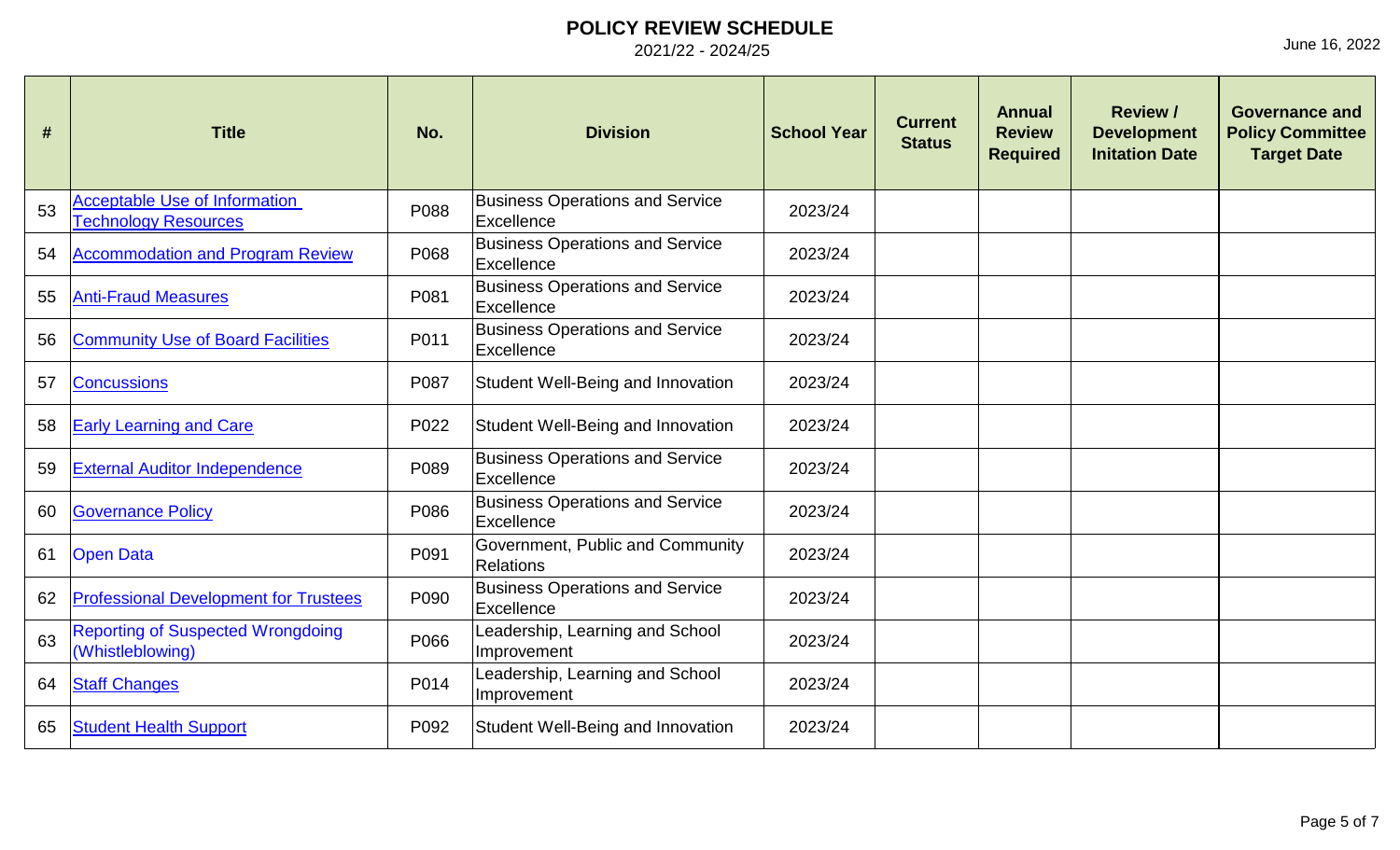| #  | <b>Title</b>                                                        | No.  | <b>Division</b>                                      | <b>School Year</b> | <b>Current</b><br><b>Status</b> | <b>Annual</b><br><b>Review</b><br><b>Required</b> | <b>Review /</b><br><b>Development</b><br><b>Initation Date</b> | <b>Governance and</b><br><b>Policy Committee</b><br><b>Target Date</b> |
|----|---------------------------------------------------------------------|------|------------------------------------------------------|--------------------|---------------------------------|---------------------------------------------------|----------------------------------------------------------------|------------------------------------------------------------------------|
| 53 | <b>Acceptable Use of Information</b><br><b>Technology Resources</b> | P088 | <b>Business Operations and Service</b><br>Excellence | 2023/24            |                                 |                                                   |                                                                |                                                                        |
| 54 | Accommodation and Program Review                                    | P068 | <b>Business Operations and Service</b><br>Excellence | 2023/24            |                                 |                                                   |                                                                |                                                                        |
| 55 | <b>Anti-Fraud Measures</b>                                          | P081 | <b>Business Operations and Service</b><br>Excellence | 2023/24            |                                 |                                                   |                                                                |                                                                        |
| 56 | <b>Community Use of Board Facilities</b>                            | P011 | <b>Business Operations and Service</b><br>Excellence | 2023/24            |                                 |                                                   |                                                                |                                                                        |
| 57 | <b>Concussions</b>                                                  | P087 | <b>Student Well-Being and Innovation</b>             | 2023/24            |                                 |                                                   |                                                                |                                                                        |
| 58 | <b>Early Learning and Care</b>                                      | P022 | Student Well-Being and Innovation                    | 2023/24            |                                 |                                                   |                                                                |                                                                        |
| 59 | <b>External Auditor Independence</b>                                | P089 | <b>Business Operations and Service</b><br>Excellence | 2023/24            |                                 |                                                   |                                                                |                                                                        |
| 60 | <b>Governance Policy</b>                                            | P086 | <b>Business Operations and Service</b><br>Excellence | 2023/24            |                                 |                                                   |                                                                |                                                                        |
| 61 | <b>Open Data</b>                                                    | P091 | Government, Public and Community<br><b>Relations</b> | 2023/24            |                                 |                                                   |                                                                |                                                                        |
| 62 | <b>Professional Development for Trustees</b>                        | P090 | <b>Business Operations and Service</b><br>Excellence | 2023/24            |                                 |                                                   |                                                                |                                                                        |
| 63 | <b>Reporting of Suspected Wrongdoing</b><br>(Whistleblowing)        | P066 | Leadership, Learning and School<br>Improvement       | 2023/24            |                                 |                                                   |                                                                |                                                                        |
| 64 | <b>Staff Changes</b>                                                | P014 | Leadership, Learning and School<br>Improvement       | 2023/24            |                                 |                                                   |                                                                |                                                                        |
| 65 | <b>Student Health Support</b>                                       | P092 | Student Well-Being and Innovation                    | 2023/24            |                                 |                                                   |                                                                |                                                                        |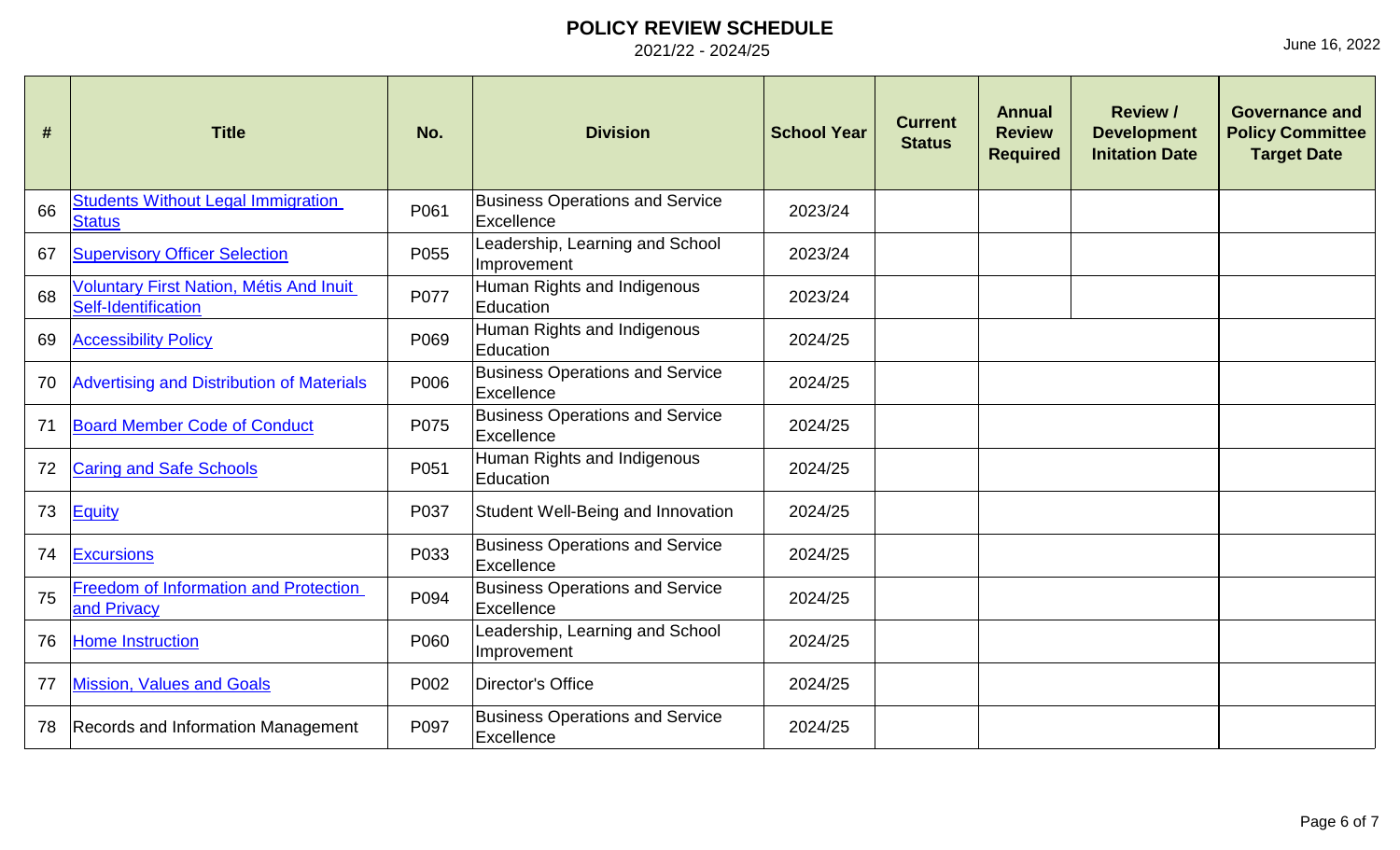| #  | <b>Title</b>                                                          | No.  | <b>Division</b>                                      | <b>School Year</b> | <b>Current</b><br><b>Status</b> | <b>Annual</b><br><b>Review</b><br><b>Required</b> | <b>Review /</b><br><b>Development</b><br><b>Initation Date</b> | <b>Governance and</b><br><b>Policy Committee</b><br><b>Target Date</b> |
|----|-----------------------------------------------------------------------|------|------------------------------------------------------|--------------------|---------------------------------|---------------------------------------------------|----------------------------------------------------------------|------------------------------------------------------------------------|
| 66 | <b>Students Without Legal Immigration</b><br><b>Status</b>            | P061 | <b>Business Operations and Service</b><br>Excellence | 2023/24            |                                 |                                                   |                                                                |                                                                        |
| 67 | <b>Supervisory Officer Selection</b>                                  | P055 | Leadership, Learning and School<br>Improvement       | 2023/24            |                                 |                                                   |                                                                |                                                                        |
| 68 | <b>Voluntary First Nation, Métis And Inuit</b><br>Self-Identification | P077 | Human Rights and Indigenous<br>Education             | 2023/24            |                                 |                                                   |                                                                |                                                                        |
| 69 | <b>Accessibility Policy</b>                                           | P069 | Human Rights and Indigenous<br>Education             | 2024/25            |                                 |                                                   |                                                                |                                                                        |
| 70 | Advertising and Distribution of Materials                             | P006 | <b>Business Operations and Service</b><br>Excellence | 2024/25            |                                 |                                                   |                                                                |                                                                        |
| 71 | <b>Board Member Code of Conduct</b>                                   | P075 | <b>Business Operations and Service</b><br>Excellence | 2024/25            |                                 |                                                   |                                                                |                                                                        |
| 72 | <b>Caring and Safe Schools</b>                                        | P051 | Human Rights and Indigenous<br>Education             | 2024/25            |                                 |                                                   |                                                                |                                                                        |
| 73 | Equity                                                                | P037 | <b>Student Well-Being and Innovation</b>             | 2024/25            |                                 |                                                   |                                                                |                                                                        |
| 74 | Excursions                                                            | P033 | <b>Business Operations and Service</b><br>Excellence | 2024/25            |                                 |                                                   |                                                                |                                                                        |
| 75 | <b>Freedom of Information and Protection</b><br>and Privacy           | P094 | <b>Business Operations and Service</b><br>Excellence | 2024/25            |                                 |                                                   |                                                                |                                                                        |
| 76 | <b>Home Instruction</b>                                               | P060 | Leadership, Learning and School<br>Improvement       | 2024/25            |                                 |                                                   |                                                                |                                                                        |
| 77 | <b>Mission, Values and Goals</b>                                      | P002 | Director's Office                                    | 2024/25            |                                 |                                                   |                                                                |                                                                        |
| 78 | Records and Information Management                                    | P097 | <b>Business Operations and Service</b><br>Excellence | 2024/25            |                                 |                                                   |                                                                |                                                                        |